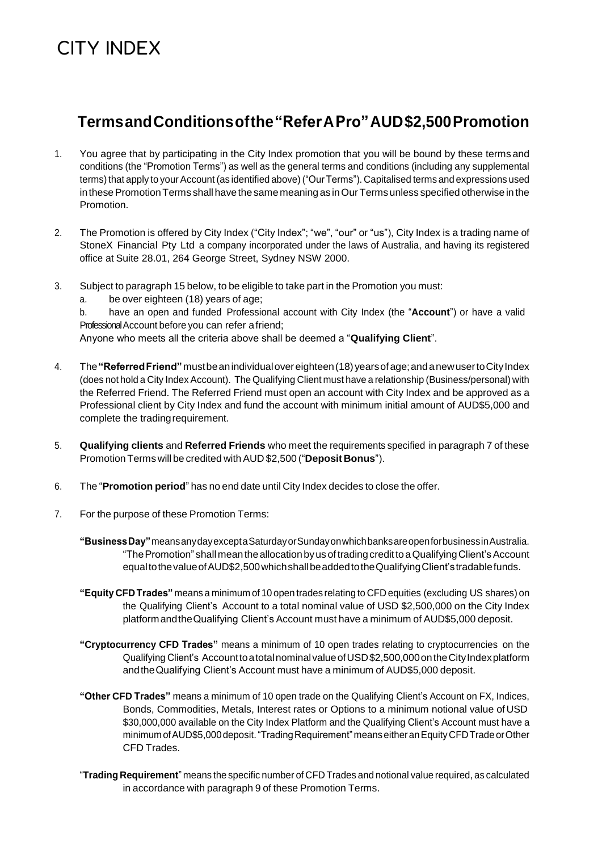## **CITY INDEX**

## **TermsandConditionsofthe"ReferAPro"AUD\$2,500Promotion**

- 1. You agree that by participating in the City Index promotion that you will be bound by these terms and conditions (the "Promotion Terms") as well as the general terms and conditions (including any supplemental terms) that apply to your Account (as identified above) ("Our Terms"). Capitalised terms and expressions used in these Promotion Terms shall have the same meaning as in Our Terms unless specified otherwise in the Promotion.
- 2. The Promotion is offered by City Index ("City Index"; "we", "our" or "us"), City Index is a trading name of StoneX Financial Pty Ltd a company incorporated under the laws of Australia, and having its registered office at Suite 28.01, 264 George Street, Sydney NSW 2000.
- 3. Subject to paragraph 15 below, to be eligible to take part in the Promotion you must:
	- a. be over eighteen (18) years of age;
	- b. have an open and funded Professional account with City Index (the "**Account**") or have a valid Professional Account before you can refer afriend;

Anyone who meets all the criteria above shall be deemed a "**Qualifying Client**".

- 4. The**"ReferredFriend"**mustbeanindividualovereighteen(18) yearsofage;andanewusertoCityIndex (does not hold a City Index Account). The Qualifying Client must have a relationship (Business/personal) with the Referred Friend. The Referred Friend must open an account with City Index and be approved as a Professional client by City Index and fund the account with minimum initial amount of AUD\$5,000 and complete the tradingrequirement.
- 5. **Qualifying clients** and **Referred Friends** who meet the requirements specified in paragraph 7 of these Promotion Terms will be credited withAUD \$2,500 ("**Deposit Bonus**").
- 6. The "**Promotion period**" has no end date until City Index decides to close the offer.
- 7. For the purpose of these Promotion Terms:
	- **"BusinessDay"**meansanydayexceptaSaturdayorSundayonwhichbanksareopenforbusinessinAustralia. "ThePromotion" shallmeantheallocationbyusof trading credittoaQualifyingClient'sAccount equaltothevalueofAUD\$2,500whichshallbeaddedtotheQualifyingClient'stradablefunds.
	- **"Equity CFDTrades"** means a minimum of 10 open trades relating to CFD equities (excluding US shares) on the Qualifying Client's Account to a total nominal value of USD \$2,500,000 on the City Index platformandtheQualifying Client's Account must have a minimum of AUD\$5,000 deposit.
	- **"Cryptocurrency CFD Trades"** means a minimum of 10 open trades relating to cryptocurrencies on the Qualifying Client's AccounttoatotalnominalvalueofUSD\$2,500,000ontheCityIndexplatform andtheQualifying Client's Account must have a minimum of AUD\$5,000 deposit.
	- **"Other CFD Trades"** means a minimum of 10 open trade on the Qualifying Client's Account on FX, Indices, Bonds, Commodities, Metals, Interest rates or Options to a minimum notional value ofUSD \$30,000,000 available on the City Index Platform and the Qualifying Client's Account must have a minimumofAUD\$5,000deposit."TradingRequirement"meanseitheranEquityCFDTradeorOther CFD Trades.
	- "**Trading Requirement**" means the specific number of CFD Trades and notional value required, as calculated in accordance with paragraph 9 of these Promotion Terms.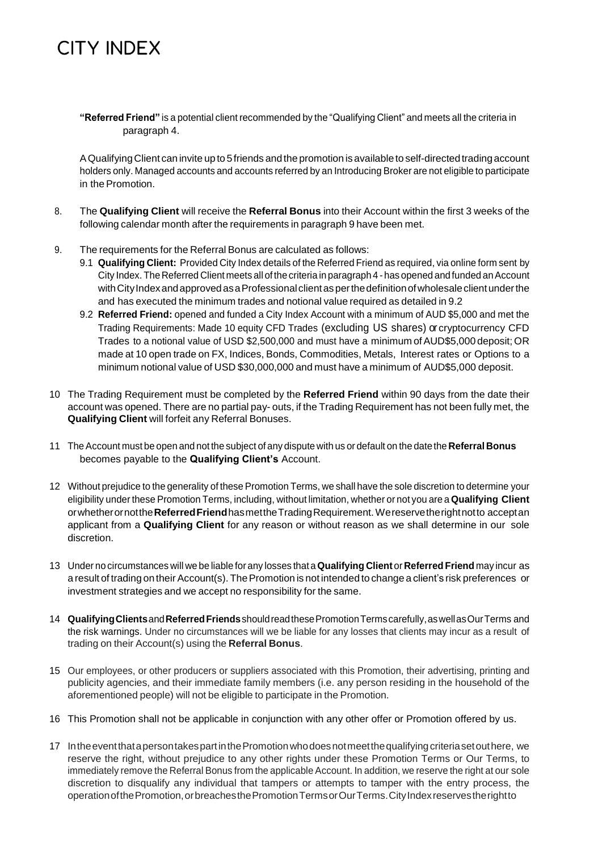## **CITY INDEX**

**"Referred Friend"** is a potential client recommended by the "Qualifying Client" and meets all the criteria in paragraph 4.

A Qualifying Client can invite up to 5 friends and the promotion is available to self-directed trading account holders only. Managed accounts and accounts referred by an Introducing Broker are not eligible to participate in the Promotion.

- 8. The **Qualifying Client** will receive the **Referral Bonus** into their Account within the first 3 weeks of the following calendar month after the requirements in paragraph 9 have been met.
- 9. The requirements for the Referral Bonus are calculated as follows:
	- 9.1 **Qualifying Client:** Provided City Index details of the Referred Friend as required, via online form sent by City Index. The Referred Client meets all of the criteria in paragraph 4 - has opened and funded an Account with City Index and approved as a Professional client as per the definition of wholesale client under the and has executed the minimum trades and notional value required as detailed in 9.2
	- 9.2 **Referred Friend:** opened and funded a City Index Account with a minimum of AUD \$5,000 and met the Trading Requirements: Made 10 equity CFD Trades (excluding US shares) or cryptocurrency CFD Trades to a notional value of USD \$2,500,000 and must have a minimum of AUD\$5,000 deposit; OR made at 10 open trade on FX, Indices, Bonds, Commodities, Metals, Interest rates or Options to a minimum notional value of USD \$30,000,000 and must have a minimum of AUD\$5,000 deposit.
- 10 The Trading Requirement must be completed by the **Referred Friend** within 90 days from the date their account was opened. There are no partial pay- outs, if the Trading Requirement has not been fully met, the **Qualifying Client** will forfeit any Referral Bonuses.
- 11 TheAccount must be open and not the subject of any dispute with us or default on the datethe **Referral Bonus** becomes payable to the **Qualifying Client's** Account.
- 12 Without prejudice to the generality of these Promotion Terms, we shall have the sole discretion to determine your eligibility under these Promotion Terms, including, without limitation, whether or not you are a **Qualifying Client** orwhetherornotthe**ReferredFriend**hasmettheTradingRequirement.Wereservetherightnotto acceptan applicant from a **Qualifying Client** for any reason or without reason as we shall determine in our sole discretion.
- 13 Under no circumstances will we be liable for any losses that a **Qualifying Client** or **Referred Friend** may incur as a result of trading on their Account(s). The Promotion is not intended to change a client's risk preferences or investment strategies and we accept no responsibility for the same.
- 14 **QualifyingClients**and**ReferredFriends**shouldreadthesePromotionTermscarefully,aswellasOurTerms and the risk warnings. Under no circumstances will we be liable for any losses that clients may incur as a result of trading on their Account(s) using the **Referral Bonus**.
- 15 Our employees, or other producers or suppliers associated with this Promotion, their advertising, printing and publicity agencies, and their immediate family members (i.e. any person residing in the household of the aforementioned people) will not be eligible to participate in the Promotion.
- 16 This Promotion shall not be applicable in conjunction with any other offer or Promotion offered by us.
- 17 IntheeventthatapersontakespartinthePromotionwhodoesnotmeetthequalifyingcriteriasetouthere, we reserve the right, without prejudice to any other rights under these Promotion Terms or Our Terms, to immediately remove the Referral Bonus from the applicable Account. In addition, we reserve the right at our sole discretion to disqualify any individual that tampers or attempts to tamper with the entry process, the operationofthePromotion,orbreachesthePromotionTermsorOurTerms.CityIndexreservestherightto